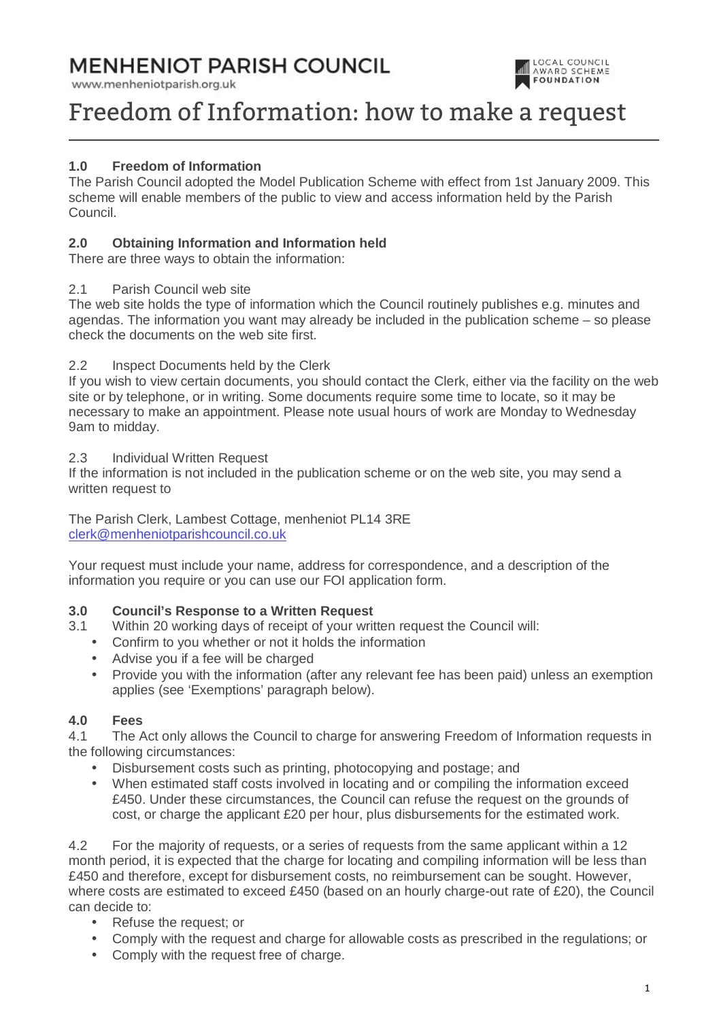# **MENHENIOT PARISH COUNCIL**

www.menheniotparish.org.uk



# Freedom of Information: how to make a request

# **1.0 Freedom of Information**

The Parish Council adopted the Model Publication Scheme with effect from 1st January 2009. This scheme will enable members of the public to view and access information held by the Parish Council.

# **2.0 Obtaining Information and Information held**

There are three ways to obtain the information:

#### 2.1 Parish Council web site

The web site holds the type of information which the Council routinely publishes e.g. minutes and agendas. The information you want may already be included in the publication scheme – so please check the documents on the web site first.

### 2.2 Inspect Documents held by the Clerk

If you wish to view certain documents, you should contact the Clerk, either via the facility on the web site or by telephone, or in writing. Some documents require some time to locate, so it may be necessary to make an appointment. Please note usual hours of work are Monday to Wednesday 9am to midday.

#### 2.3 Individual Written Request

If the information is not included in the publication scheme or on the web site, you may send a written request to

The Parish Clerk, Lambest Cottage, menheniot PL14 3RE clerk@menheniotparishcouncil.co.uk

Your request must include your name, address for correspondence, and a description of the information you require or you can use our FOI application form.

#### **3.0 Council's Response to a Written Request**

- 3.1 Within 20 working days of receipt of your written request the Council will:
	- Confirm to you whether or not it holds the information
	- Advise you if a fee will be charged
	- Provide you with the information (after any relevant fee has been paid) unless an exemption applies (see 'Exemptions' paragraph below).

#### **4.0 Fees**

4.1 The Act only allows the Council to charge for answering Freedom of Information requests in the following circumstances:

- Disbursement costs such as printing, photocopying and postage; and
- When estimated staff costs involved in locating and or compiling the information exceed £450. Under these circumstances, the Council can refuse the request on the grounds of cost, or charge the applicant £20 per hour, plus disbursements for the estimated work.

4.2 For the majority of requests, or a series of requests from the same applicant within a 12 month period, it is expected that the charge for locating and compiling information will be less than £450 and therefore, except for disbursement costs, no reimbursement can be sought. However, where costs are estimated to exceed £450 (based on an hourly charge-out rate of £20), the Council can decide to:

- Refuse the request; or
- Comply with the request and charge for allowable costs as prescribed in the regulations; or
- Comply with the request free of charge.